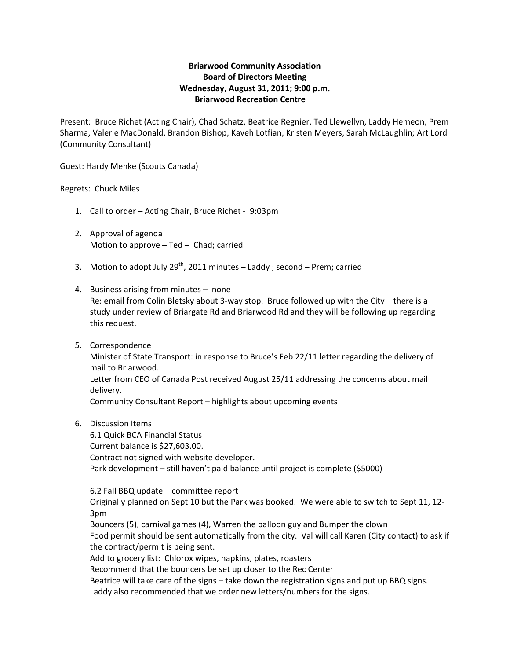## **Briarwood Community Association Board of Directors Meeting Wednesday, August 31, 2011; 9:00 p.m. Briarwood Recreation Centre**

Present: Bruce Richet (Acting Chair), Chad Schatz, Beatrice Regnier, Ted Llewellyn, Laddy Hemeon, Prem Sharma, Valerie MacDonald, Brandon Bishop, Kaveh Lotfian, Kristen Meyers, Sarah McLaughlin; Art Lord (Community Consultant)

Guest: Hardy Menke (Scouts Canada)

## Regrets: Chuck Miles

- 1. Call to order Acting Chair, Bruce Richet ‐ 9:03pm
- 2. Approval of agenda Motion to approve – Ted – Chad; carried
- 3. Motion to adopt July 29<sup>th</sup>, 2011 minutes  $-$  Laddy; second  $-$  Prem; carried
- 4. Business arising from minutes none Re: email from Colin Bletsky about 3‐way stop. Bruce followed up with the City – there is a study under review of Briargate Rd and Briarwood Rd and they will be following up regarding this request.
- 5. Correspondence Minister of State Transport: in response to Bruce's Feb 22/11 letter regarding the delivery of mail to Briarwood. Letter from CEO of Canada Post received August 25/11 addressing the concerns about mail delivery. Community Consultant Report – highlights about upcoming events
- 6. Discussion Items

6.1 Quick BCA Financial Status Current balance is \$27,603.00. Contract not signed with website developer. Park development – still haven't paid balance until project is complete (\$5000)

6.2 Fall BBQ update – committee report Originally planned on Sept 10 but the Park was booked. We were able to switch to Sept 11, 12‐ 3pm Bouncers (5), carnival games (4), Warren the balloon guy and Bumper the clown Food permit should be sent automatically from the city. Val will call Karen (City contact) to ask if the contract/permit is being sent. Add to grocery list: Chlorox wipes, napkins, plates, roasters Recommend that the bouncers be set up closer to the Rec Center Beatrice will take care of the signs – take down the registration signs and put up BBQ signs.

Laddy also recommended that we order new letters/numbers for the signs.